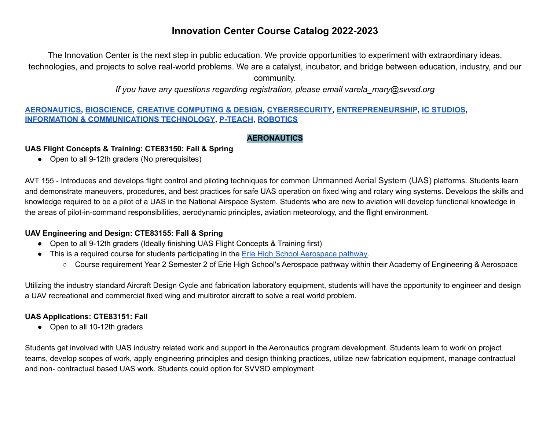The Innovation Center is the next step in public education. We provide opportunities to experiment with extraordinary ideas, technologies, and projects to solve real-world problems. We are a catalyst, incubator, and bridge between education, industry, and our community.

*If you have any questions regarding registration, please email varela\_mary@svvsd.org*

#### **[AERONAUTICS,](#page-0-0) [BIOSCIENCE](#page-2-0), CREATIVE [COMPUTING](#page-3-0) & DESIGN, [CYBERSECURITY,](#page-4-0) [ENTREPRENEURSHIP](#page-7-0), IC [STUDIOS](#page-7-1), INFORMATION & [COMMUNICATIONS](#page-8-0) TECHNOLOGY, P-TEACH**, **[ROBOTICS](#page-12-0)**

#### **AERONAUTICS**

#### <span id="page-0-0"></span>**UAS Flight Concepts & Training: CTE83150: Fall & Spring**

• Open to all 9-12th graders (No prerequisites)

AVT 155 - Introduces and develops flight control and piloting techniques for common Unmanned Aerial System (UAS) platforms. Students learn and demonstrate maneuvers, procedures, and best practices for safe UAS operation on fixed wing and rotary wing systems. Develops the skills and knowledge required to be a pilot of a UAS in the National Airspace System. Students who are new to aviation will develop functional knowledge in the areas of pilot-in-command responsibilities, aerodynamic principles, aviation meteorology, and the flight environment.

#### **UAV Engineering and Design: CTE83155: Fall & Spring**

- Open to all 9-12th graders (Ideally finishing UAS Flight Concepts & Training first)
- This is a required course for students participating in the Erie High School [Aerospace](https://docs.google.com/document/d/1lAVY3Kvz_SXmH-I8uatUv3fi7dzT7Q4sXIFaQ_Opj7E/edit?usp=sharing) pathway.
	- Course requirement Year 2 Semester 2 of Erie High School's Aerospace pathway within their Academy of Engineering & Aerospace

Utilizing the industry standard Aircraft Design Cycle and fabrication laboratory equipment, students will have the opportunity to engineer and design a UAV recreational and commercial fixed wing and multirotor aircraft to solve a real world problem.

#### **UAS Applications: CTE83151: Fall**

● Open to all 10-12th graders

Students get involved with UAS industry related work and support in the Aeronautics program development. Students learn to work on project teams, develop scopes of work, apply engineering principles and design thinking practices, utilize new fabrication equipment, manage contractual and non- contractual based UAS work. Students could option for SVVSD employment.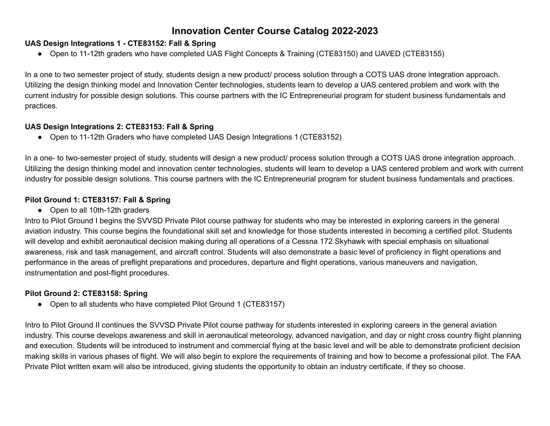#### **UAS Design Integrations 1 - CTE83152: Fall & Spring**

● Open to 11-12th graders who have completed UAS Flight Concepts & Training (CTE83150) and UAVED (CTE83155)

In a one to two semester project of study, students design a new product/ process solution through a COTS UAS drone integration approach. Utilizing the design thinking model and Innovation Center technologies, students learn to develop a UAS centered problem and work with the current industry for possible design solutions. This course partners with the IC Entrepreneurial program for student business fundamentals and practices.

#### **UAS Design Integrations 2: CTE83153: Fall & Spring**

● Open to 11-12th Graders who have completed UAS Design Integrations 1 (CTE83152)

In a one- to two-semester project of study, students will design a new product/ process solution through a COTS UAS drone integration approach. Utilizing the design thinking model and innovation center technologies, students will learn to develop a UAS centered problem and work with current industry for possible design solutions. This course partners with the IC Entrepreneurial program for student business fundamentals and practices.

#### **Pilot Ground 1: CTE83157: Fall & Spring**

● Open to all 10th-12th graders

Intro to Pilot Ground I begins the SVVSD Private Pilot course pathway for students who may be interested in exploring careers in the general aviation industry. This course begins the foundational skill set and knowledge for those students interested in becoming a certified pilot. Students will develop and exhibit aeronautical decision making during all operations of a Cessna 172 Skyhawk with special emphasis on situational awareness, risk and task management, and aircraft control. Students will also demonstrate a basic level of proficiency in flight operations and performance in the areas of preflight preparations and procedures, departure and flight operations, various maneuvers and navigation, instrumentation and post-flight procedures.

#### **Pilot Ground 2: CTE83158: Spring**

• Open to all students who have completed Pilot Ground 1 (CTE83157)

Intro to Pilot Ground II continues the SVVSD Private Pilot course pathway for students interested in exploring careers in the general aviation industry. This course develops awareness and skill in aeronautical meteorology, advanced navigation, and day or night cross country flight planning and execution. Students will be introduced to instrument and commercial flying at the basic level and will be able to demonstrate proficient decision making skills in various phases of flight. We will also begin to explore the requirements of training and how to become a professional pilot. The FAA Private Pilot written exam will also be introduced, giving students the opportunity to obtain an industry certificate, if they so choose.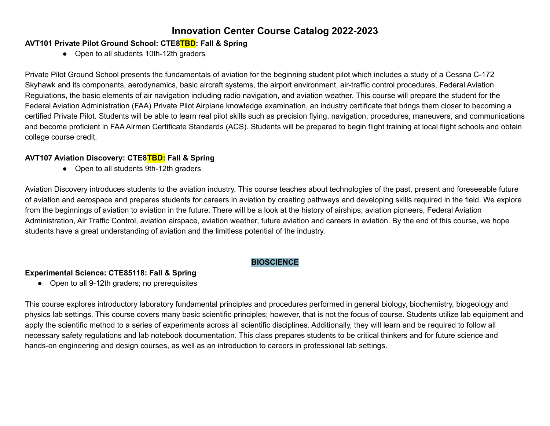#### **AVT101 Private Pilot Ground School: CTE8TBD: Fall & Spring**

**●** Open to all students 10th-12th graders

Private Pilot Ground School presents the fundamentals of aviation for the beginning student pilot which includes a study of a Cessna C-172 Skyhawk and its components, aerodynamics, basic aircraft systems, the airport environment, air-traffic control procedures, Federal Aviation Regulations, the basic elements of air navigation including radio navigation, and aviation weather. This course will prepare the student for the Federal Aviation Administration (FAA) Private Pilot Airplane knowledge examination, an industry certificate that brings them closer to becoming a certified Private Pilot. Students will be able to learn real pilot skills such as precision flying, navigation, procedures, maneuvers, and communications and become proficient in FAA Airmen Certificate Standards (ACS). Students will be prepared to begin flight training at local flight schools and obtain college course credit.

#### **AVT107 Aviation Discovery: CTE8TBD: Fall & Spring**

● Open to all students 9th-12th graders

Aviation Discovery introduces students to the aviation industry. This course teaches about technologies of the past, present and foreseeable future of aviation and aerospace and prepares students for careers in aviation by creating pathways and developing skills required in the field. We explore from the beginnings of aviation to aviation in the future. There will be a look at the history of airships, aviation pioneers, Federal Aviation Administration, Air Traffic Control, aviation airspace, aviation weather, future aviation and careers in aviation. By the end of this course, we hope students have a great understanding of aviation and the limitless potential of the industry.

#### **BIOSCIENCE**

#### <span id="page-2-0"></span>**Experimental Science: CTE85118: Fall & Spring**

**●** Open to all 9-12th graders; no prerequisites

This course explores introductory laboratory fundamental principles and procedures performed in general biology, biochemistry, biogeology and physics lab settings. This course covers many basic scientific principles; however, that is not the focus of course. Students utilize lab equipment and apply the scientific method to a series of experiments across all scientific disciplines. Additionally, they will learn and be required to follow all necessary safety regulations and lab notebook documentation. This class prepares students to be critical thinkers and for future science and hands-on engineering and design courses, as well as an introduction to careers in professional lab settings.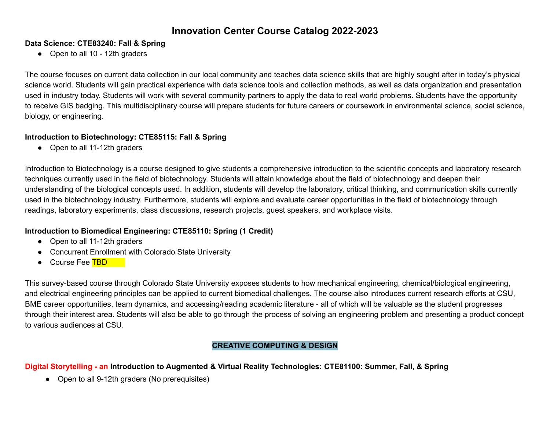### **Data Science: CTE83240: Fall & Spring**

• Open to all 10 - 12th graders

The course focuses on current data collection in our local community and teaches data science skills that are highly sought after in today's physical science world. Students will gain practical experience with data science tools and collection methods, as well as data organization and presentation used in industry today. Students will work with several community partners to apply the data to real world problems. Students have the opportunity to receive GIS badging. This multidisciplinary course will prepare students for future careers or coursework in environmental science, social science, biology, or engineering.

### **Introduction to Biotechnology: CTE85115: Fall & Spring**

● Open to all 11-12th graders

Introduction to Biotechnology is a course designed to give students a comprehensive introduction to the scientific concepts and laboratory research techniques currently used in the field of biotechnology. Students will attain knowledge about the field of biotechnology and deepen their understanding of the biological concepts used. In addition, students will develop the laboratory, critical thinking, and communication skills currently used in the biotechnology industry. Furthermore, students will explore and evaluate career opportunities in the field of biotechnology through readings, laboratory experiments, class discussions, research projects, guest speakers, and workplace visits.

# **Introduction to Biomedical Engineering: CTE85110: Spring (1 Credit)**

- Open to all 11-12th graders
- Concurrent Enrollment with Colorado State University
- Course Fee TBD

This survey-based course through Colorado State University exposes students to how mechanical engineering, chemical/biological engineering, and electrical engineering principles can be applied to current biomedical challenges. The course also introduces current research efforts at CSU, BME career opportunities, team dynamics, and accessing/reading academic literature - all of which will be valuable as the student progresses through their interest area. Students will also be able to go through the process of solving an engineering problem and presenting a product concept to various audiences at CSU.

# **CREATIVE COMPUTING & DESIGN**

# <span id="page-3-0"></span>Digital Storytelling - an Introduction to Augmented & Virtual Reality Technologies: CTE81100: Summer, Fall, & Spring

• Open to all 9-12th graders (No prerequisites)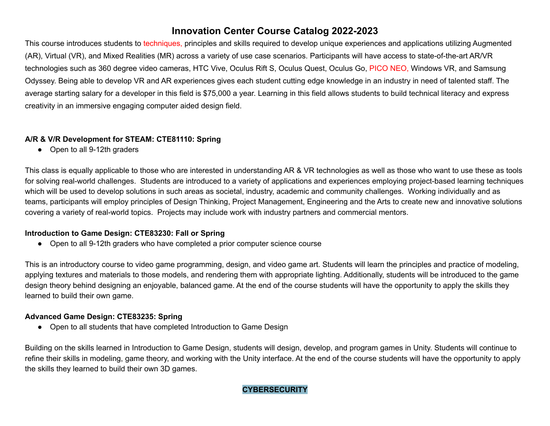This course introduces students to techniques, principles and skills required to develop unique experiences and applications utilizing Augmented (AR), Virtual (VR), and Mixed Realities (MR) across a variety of use case scenarios. Participants will have access to state-of-the-art AR/VR technologies such as 360 degree video cameras, HTC Vive, Oculus Rift S, Oculus Quest, Oculus Go, PICO NEO, Windows VR, and Samsung Odyssey. Being able to develop VR and AR experiences gives each student cutting edge knowledge in an industry in need of talented staff. The average starting salary for a developer in this field is \$75,000 a year. Learning in this field allows students to build technical literacy and express creativity in an immersive engaging computer aided design field.

#### **A/R & V/R Development for STEAM: CTE81110: Spring**

● Open to all 9-12th graders

This class is equally applicable to those who are interested in understanding AR & VR technologies as well as those who want to use these as tools for solving real-world challenges. Students are introduced to a variety of applications and experiences employing project-based learning techniques which will be used to develop solutions in such areas as societal, industry, academic and community challenges. Working individually and as teams, participants will employ principles of Design Thinking, Project Management, Engineering and the Arts to create new and innovative solutions covering a variety of real-world topics. Projects may include work with industry partners and commercial mentors.

## **Introduction to Game Design: CTE83230: Fall or Spring**

● Open to all 9-12th graders who have completed a prior computer science course

This is an introductory course to video game programming, design, and video game art. Students will learn the principles and practice of modeling, applying textures and materials to those models, and rendering them with appropriate lighting. Additionally, students will be introduced to the game design theory behind designing an enjoyable, balanced game. At the end of the course students will have the opportunity to apply the skills they learned to build their own game.

#### **Advanced Game Design: CTE83235: Spring**

● Open to all students that have completed Introduction to Game Design

<span id="page-4-0"></span>Building on the skills learned in Introduction to Game Design, students will design, develop, and program games in Unity. Students will continue to refine their skills in modeling, game theory, and working with the Unity interface. At the end of the course students will have the opportunity to apply the skills they learned to build their own 3D games.

#### **CYBERSECURITY**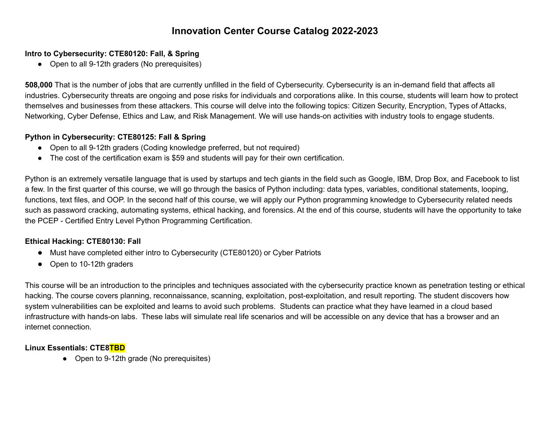### **Intro to Cybersecurity: CTE80120: Fall, & Spring**

• Open to all 9-12th graders (No prerequisites)

**508,000** That is the number of jobs that are currently unfilled in the field of Cybersecurity. Cybersecurity is an in-demand field that affects all industries. Cybersecurity threats are ongoing and pose risks for individuals and corporations alike. In this course, students will learn how to protect themselves and businesses from these attackers. This course will delve into the following topics: Citizen Security, Encryption, Types of Attacks, Networking, Cyber Defense, Ethics and Law, and Risk Management. We will use hands-on activities with industry tools to engage students.

### **Python in Cybersecurity: CTE80125: Fall & Spring**

- Open to all 9-12th graders (Coding knowledge preferred, but not required)
- The cost of the certification exam is \$59 and students will pay for their own certification.

Python is an extremely versatile language that is used by startups and tech giants in the field such as Google, IBM, Drop Box, and Facebook to list a few. In the first quarter of this course, we will go through the basics of Python including: data types, variables, conditional statements, looping, functions, text files, and OOP. In the second half of this course, we will apply our Python programming knowledge to Cybersecurity related needs such as password cracking, automating systems, ethical hacking, and forensics. At the end of this course, students will have the opportunity to take the PCEP - Certified Entry Level Python Programming Certification.

## **Ethical Hacking: CTE80130: Fall**

- Must have completed either intro to Cybersecurity (CTE80120) or Cyber Patriots
- Open to 10-12th graders

This course will be an introduction to the principles and techniques associated with the cybersecurity practice known as penetration testing or ethical hacking. The course covers planning, reconnaissance, scanning, exploitation, post-exploitation, and result reporting. The student discovers how system vulnerabilities can be exploited and learns to avoid such problems. Students can practice what they have learned in a cloud based infrastructure with hands-on labs. These labs will simulate real life scenarios and will be accessible on any device that has a browser and an internet connection.

#### **Linux Essentials: CTE8TBD**

● Open to 9-12th grade (No prerequisites)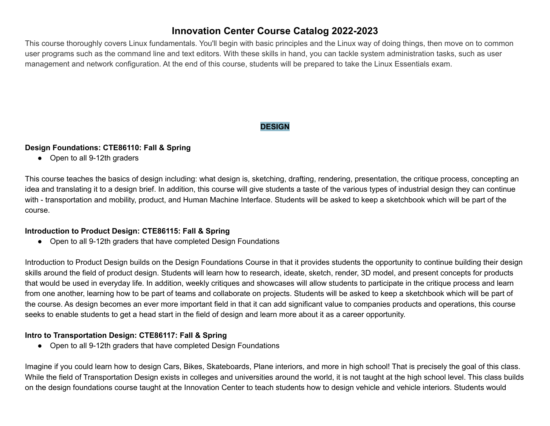This course thoroughly covers Linux fundamentals. You'll begin with basic principles and the Linux way of doing things, then move on to common user programs such as the command line and text editors. With these skills in hand, you can tackle system administration tasks, such as user management and network configuration. At the end of this course, students will be prepared to take the Linux Essentials exam.

## **DESIGN**

#### **Design Foundations: CTE86110: Fall & Spring**

● Open to all 9-12th graders

This course teaches the basics of design including: what design is, sketching, drafting, rendering, presentation, the critique process, concepting an idea and translating it to a design brief. In addition, this course will give students a taste of the various types of industrial design they can continue with - transportation and mobility, product, and Human Machine Interface. Students will be asked to keep a sketchbook which will be part of the course.

#### **Introduction to Product Design: CTE86115: Fall & Spring**

**●** Open to all 9-12th graders that have completed Design Foundations

Introduction to Product Design builds on the Design Foundations Course in that it provides students the opportunity to continue building their design skills around the field of product design. Students will learn how to research, ideate, sketch, render, 3D model, and present concepts for products that would be used in everyday life. In addition, weekly critiques and showcases will allow students to participate in the critique process and learn from one another, learning how to be part of teams and collaborate on projects. Students will be asked to keep a sketchbook which will be part of the course. As design becomes an ever more important field in that it can add significant value to companies products and operations, this course seeks to enable students to get a head start in the field of design and learn more about it as a career opportunity.

#### **Intro to Transportation Design: CTE86117: Fall & Spring**

● Open to all 9-12th graders that have completed Design Foundations

Imagine if you could learn how to design Cars, Bikes, Skateboards, Plane interiors, and more in high school! That is precisely the goal of this class. While the field of Transportation Design exists in colleges and universities around the world, it is not taught at the high school level. This class builds on the design foundations course taught at the Innovation Center to teach students how to design vehicle and vehicle interiors. Students would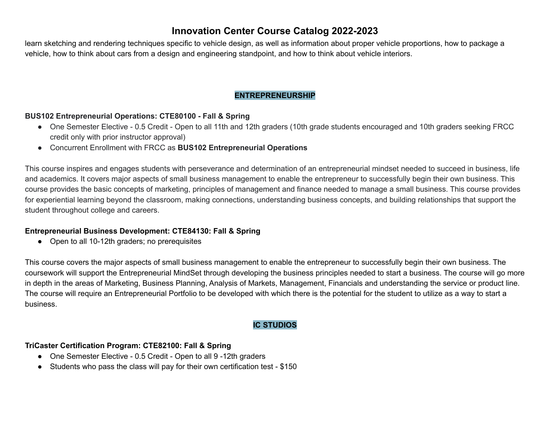learn sketching and rendering techniques specific to vehicle design, as well as information about proper vehicle proportions, how to package a vehicle, how to think about cars from a design and engineering standpoint, and how to think about vehicle interiors.

## **ENTREPRENEURSHIP**

#### <span id="page-7-0"></span>**BUS102 Entrepreneurial Operations: CTE80100 - Fall & Spring**

- One Semester Elective 0.5 Credit Open to all 11th and 12th graders (10th grade students encouraged and 10th graders seeking FRCC credit only with prior instructor approval)
- Concurrent Enrollment with FRCC as **BUS102 Entrepreneurial Operations**

This course inspires and engages students with perseverance and determination of an entrepreneurial mindset needed to succeed in business, life and academics. It covers major aspects of small business management to enable the entrepreneur to successfully begin their own business. This course provides the basic concepts of marketing, principles of management and finance needed to manage a small business. This course provides for experiential learning beyond the classroom, making connections, understanding business concepts, and building relationships that support the student throughout college and careers.

#### **Entrepreneurial Business Development: CTE84130: Fall & Spring**

● Open to all 10-12th graders; no prerequisites

This course covers the major aspects of small business management to enable the entrepreneur to successfully begin their own business. The coursework will support the Entrepreneurial MindSet through developing the business principles needed to start a business. The course will go more in depth in the areas of Marketing, Business Planning, Analysis of Markets, Management, Financials and understanding the service or product line. The course will require an Entrepreneurial Portfolio to be developed with which there is the potential for the student to utilize as a way to start a business.

## **IC STUDIOS**

#### <span id="page-7-1"></span>**TriCaster Certification Program: CTE82100: Fall & Spring**

- One Semester Elective 0.5 Credit Open to all 9 -12th graders
- Students who pass the class will pay for their own certification test \$150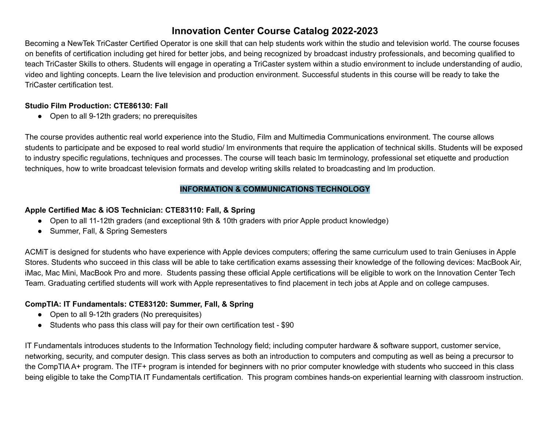Becoming a NewTek TriCaster Certified Operator is one skill that can help students work within the studio and television world. The course focuses on benefits of certification including get hired for better jobs, and being recognized by broadcast industry professionals, and becoming qualified to teach TriCaster Skills to others. Students will engage in operating a TriCaster system within a studio environment to include understanding of audio, video and lighting concepts. Learn the live television and production environment. Successful students in this course will be ready to take the TriCaster certification test.

### **Studio Film Production: CTE86130: Fall**

● Open to all 9-12th graders; no prerequisites

The course provides authentic real world experience into the Studio, Film and Multimedia Communications environment. The course allows students to participate and be exposed to real world studio/ lm environments that require the application of technical skills. Students will be exposed to industry specific regulations, techniques and processes. The course will teach basic lm terminology, professional set etiquette and production techniques, how to write broadcast television formats and develop writing skills related to broadcasting and lm production.

## **INFORMATION & COMMUNICATIONS TECHNOLOGY**

# <span id="page-8-0"></span>**Apple Certified Mac & iOS Technician: CTE83110: Fall, & Spring**

- Open to all 11-12th graders (and exceptional 9th & 10th graders with prior Apple product knowledge)
- Summer, Fall, & Spring Semesters

ACMiT is designed for students who have experience with Apple devices computers; offering the same curriculum used to train Geniuses in Apple Stores. Students who succeed in this class will be able to take certification exams assessing their knowledge of the following devices: MacBook Air, iMac, Mac Mini, MacBook Pro and more. Students passing these official Apple certifications will be eligible to work on the Innovation Center Tech Team. Graduating certified students will work with Apple representatives to find placement in tech jobs at Apple and on college campuses.

## **CompTIA: IT Fundamentals: CTE83120: Summer, Fall, & Spring**

- Open to all 9-12th graders (No prerequisites)
- Students who pass this class will pay for their own certification test \$90

IT Fundamentals introduces students to the Information Technology field; including computer hardware & software support, customer service, networking, security, and computer design. This class serves as both an introduction to computers and computing as well as being a precursor to the CompTIA A+ program. The ITF+ program is intended for beginners with no prior computer knowledge with students who succeed in this class being eligible to take the CompTIA IT Fundamentals certification. This program combines hands-on experiential learning with classroom instruction.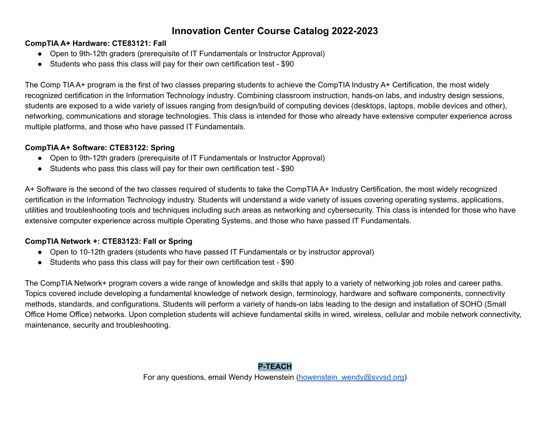### **CompTIA A+ Hardware: CTE83121: Fall**

- Open to 9th-12th graders (prerequisite of IT Fundamentals or Instructor Approval)
- Students who pass this class will pay for their own certification test \$90

The Comp TIA A+ program is the first of two classes preparing students to achieve the CompTIA Industry A+ Certification, the most widely recognized certification in the Information Technology industry. Combining classroom instruction, hands-on labs, and industry design sessions, students are exposed to a wide variety of issues ranging from design/build of computing devices (desktops, laptops, mobile devices and other), networking, communications and storage technologies. This class is intended for those who already have extensive computer experience across multiple platforms, and those who have passed IT Fundamentals.

## **CompTIA A+ Software: CTE83122: Spring**

- Open to 9th-12th graders (prerequisite of IT Fundamentals or Instructor Approval)
- Students who pass this class will pay for their own certification test \$90

A+ Software is the second of the two classes required of students to take the CompTIA A+ Industry Certification, the most widely recognized certification in the Information Technology industry. Students will understand a wide variety of issues covering operating systems, applications, utilities and troubleshooting tools and techniques including such areas as networking and cybersecurity. This class is intended for those who have extensive computer experience across multiple Operating Systems, and those who have passed IT Fundamentals.

## **CompTIA Network +: CTE83123: Fall or Spring**

- Open to 10-12th graders (students who have passed IT Fundamentals or by instructor approval)
- Students who pass this class will pay for their own certification test \$90

The CompTIA Network+ program covers a wide range of knowledge and skills that apply to a variety of networking job roles and career paths. Topics covered include developing a fundamental knowledge of network design, terminology, hardware and software components, connectivity methods, standards, and configurations. Students will perform a variety of hands-on labs leading to the design and installation of SOHO (Small Office Home Office) networks. Upon completion students will achieve fundamental skills in wired, wireless, cellular and mobile network connectivity, maintenance, security and troubleshooting.

#### **P-TEACH**

For any questions, email Wendy Howenstein (howenstein wendy@svvsd.org)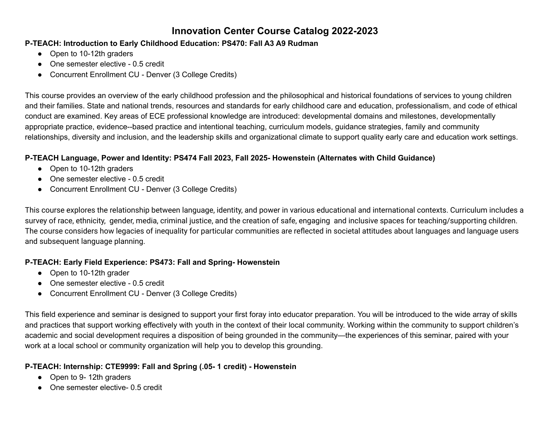### **P-TEACH: Introduction to Early Childhood Education: PS470: Fall A3 A9 Rudman**

- Open to 10-12th graders
- One semester elective 0.5 credit
- Concurrent Enrollment CU Denver (3 College Credits)

This course provides an overview of the early childhood profession and the philosophical and historical foundations of services to young children and their families. State and national trends, resources and standards for early childhood care and education, professionalism, and code of ethical conduct are examined. Key areas of ECE professional knowledge are introduced: developmental domains and milestones, developmentally appropriate practice, evidence--based practice and intentional teaching, curriculum models, guidance strategies, family and community relationships, diversity and inclusion, and the leadership skills and organizational climate to support quality early care and education work settings.

# **P-TEACH Language, Power and Identity: PS474 Fall 2023, Fall 2025- Howenstein (Alternates with Child Guidance)**

- Open to 10-12th graders
- One semester elective 0.5 credit
- Concurrent Enrollment CU Denver (3 College Credits)

This course explores the relationship between language, identity, and power in various educational and international contexts. Curriculum includes a survey of race, ethnicity, gender, media, criminal justice, and the creation of safe, engaging and inclusive spaces for teaching/supporting children. The course considers how legacies of inequality for particular communities are reflected in societal attitudes about languages and language users and subsequent language planning.

## **P-TEACH: Early Field Experience: PS473: Fall and Spring- Howenstein**

- Open to 10-12th grader
- One semester elective 0.5 credit
- Concurrent Enrollment CU Denver (3 College Credits)

This field experience and seminar is designed to support your first foray into educator preparation. You will be introduced to the wide array of skills and practices that support working effectively with youth in the context of their local community. Working within the community to support children's academic and social development requires a disposition of being grounded in the community—the experiences of this seminar, paired with your work at a local school or community organization will help you to develop this grounding.

# **P-TEACH: Internship: CTE9999: Fall and Spring (.05- 1 credit) - Howenstein**

- Open to 9-12th graders
- One semester elective- 0.5 credit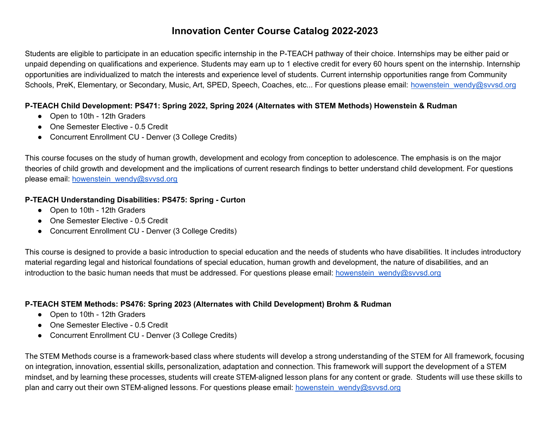Students are eligible to participate in an education specific internship in the P-TEACH pathway of their choice. Internships may be either paid or unpaid depending on qualifications and experience. Students may earn up to 1 elective credit for every 60 hours spent on the internship. Internship opportunities are individualized to match the interests and experience level of students. Current internship opportunities range from Community Schools, PreK, Elementary, or Secondary, Music, Art, SPED, Speech, Coaches, etc... For questions please email: [howenstein\\_wendy@svvsd.org](mailto:howenstein_wendy@svvsd.org)

#### **P-TEACH Child Development: PS471: Spring 2022, Spring 2024 (Alternates with STEM Methods) Howenstein & Rudman**

- Open to 10th 12th Graders
- One Semester Elective 0.5 Credit
- Concurrent Enrollment CU Denver (3 College Credits)

This course focuses on the study of human growth, development and ecology from conception to adolescence. The emphasis is on the major theories of child growth and development and the implications of current research findings to better understand child development. For questions please email: [howenstein\\_wendy@svvsd.org](mailto:howenstein_wendy@svvsd.org)

### **P-TEACH Understanding Disabilities: PS475: Spring - Curton**

- Open to 10th 12th Graders
- One Semester Elective 0.5 Credit
- Concurrent Enrollment CU Denver (3 College Credits)

This course is designed to provide a basic introduction to special education and the needs of students who have disabilities. It includes introductory material regarding legal and historical foundations of special education, human growth and development, the nature of disabilities, and an introduction to the basic human needs that must be addressed. For questions please email: [howenstein\\_wendy@svvsd.org](mailto:howenstein_wendy@svvsd.org)

#### **P-TEACH STEM Methods: PS476: Spring 2023 (Alternates with Child Development) Brohm & Rudman**

- Open to 10th 12th Graders
- One Semester Elective 0.5 Credit
- Concurrent Enrollment CU Denver (3 College Credits)

The STEM Methods course is a framework-based class where students will develop a strong understanding of the STEM for All framework, focusing on integration, innovation, essential skills, personalization, adaptation and connection. This framework will support the development of a STEM mindset, and by learning these processes, students will create STEM-aligned lesson plans for any content or grade. Students will use these skills to plan and carry out their own STEM-aligned lessons. For questions please email: [howenstein\\_wendy@svvsd.org](mailto:howenstein_wendy@svvsd.org)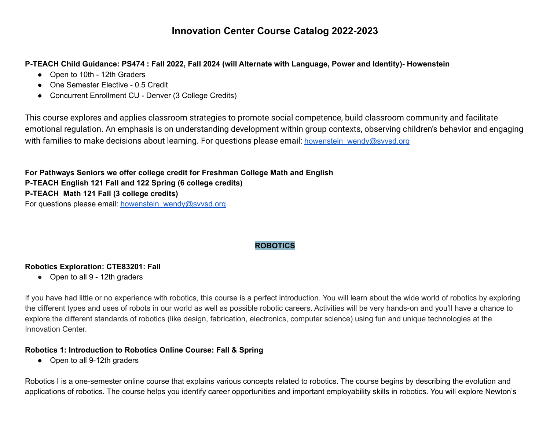P-TEACH Child Guidance: PS474 : Fall 2022, Fall 2024 (will Alternate with Language, Power and Identity)- Howenstein

- Open to 10th 12th Graders
- One Semester Elective 0.5 Credit
- Concurrent Enrollment CU Denver (3 College Credits)

This course explores and applies classroom strategies to promote social competence, build classroom community and facilitate emotional regulation. An emphasis is on understanding development within group contexts, observing children's behavior and engaging with families to make decisions about learning. For questions please email: howenstein wendy@svvsd.org

**For Pathways Seniors we offer college credit for Freshman College Math and English P-TEACH English 121 Fall and 122 Spring (6 college credits) P-TEACH Math 121 Fall (3 college credits)** For questions please email: [howenstein\\_wendy@svvsd.org](mailto:howenstein_wendy@svvsd.org)

# **ROBOTICS**

## <span id="page-12-0"></span>**Robotics Exploration: CTE83201: Fall**

● Open to all 9 - 12th graders

If you have had little or no experience with robotics, this course is a perfect introduction. You will learn about the wide world of robotics by exploring the different types and uses of robots in our world as well as possible robotic careers. Activities will be very hands-on and you'll have a chance to explore the different standards of robotics (like design, fabrication, electronics, computer science) using fun and unique technologies at the Innovation Center.

## **Robotics 1: Introduction to Robotics Online Course: Fall & Spring**

● Open to all 9-12th graders

Robotics I is a one-semester online course that explains various concepts related to robotics. The course begins by describing the evolution and applications of robotics. The course helps you identify career opportunities and important employability skills in robotics. You will explore Newton's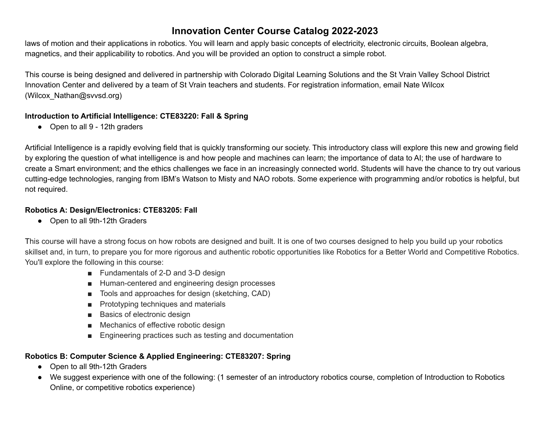laws of motion and their applications in robotics. You will learn and apply basic concepts of electricity, electronic circuits, Boolean algebra, magnetics, and their applicability to robotics. And you will be provided an option to construct a simple robot.

This course is being designed and delivered in partnership with Colorado Digital Learning Solutions and the St Vrain Valley School District Innovation Center and delivered by a team of St Vrain teachers and students. For registration information, email Nate Wilcox (Wilcox\_Nathan@svvsd.org)

#### **Introduction to Artificial Intelligence: CTE83220: Fall & Spring**

● Open to all 9 - 12th graders

Artificial Intelligence is a rapidly evolving field that is quickly transforming our society. This introductory class will explore this new and growing field by exploring the question of what intelligence is and how people and machines can learn; the importance of data to AI; the use of hardware to create a Smart environment; and the ethics challenges we face in an increasingly connected world. Students will have the chance to try out various cutting-edge technologies, ranging from IBM's Watson to Misty and NAO robots. Some experience with programming and/or robotics is helpful, but not required.

# **Robotics A: Design/Electronics: CTE83205: Fall**

• Open to all 9th-12th Graders

This course will have a strong focus on how robots are designed and built. It is one of two courses designed to help you build up your robotics skillset and, in turn, to prepare you for more rigorous and authentic robotic opportunities like Robotics for a Better World and Competitive Robotics. You'll explore the following in this course:

- Fundamentals of 2-D and 3-D design
- Human-centered and engineering design processes
- Tools and approaches for design (sketching, CAD)
- Prototyping techniques and materials
- Basics of electronic design
- Mechanics of effective robotic design
- Engineering practices such as testing and documentation

# **Robotics B: Computer Science & Applied Engineering: CTE83207: Spring**

- Open to all 9th-12th Graders
- We suggest experience with one of the following: (1 semester of an introductory robotics course, completion of Introduction to Robotics Online, or competitive robotics experience)